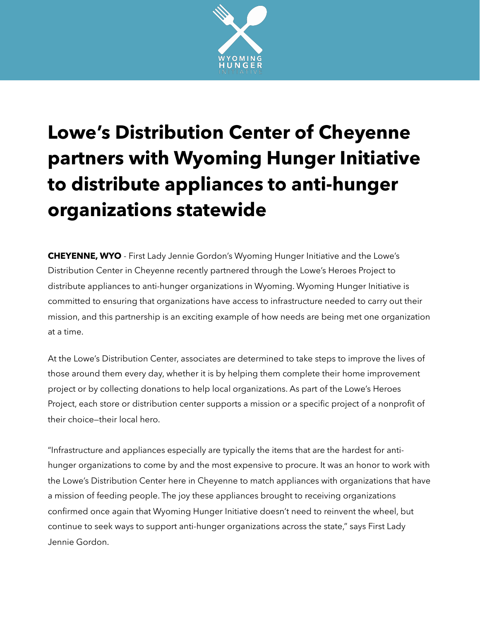

## **Lowe's Distribution Center of Cheyenne partners with Wyoming Hunger Initiative to distribute appliances to anti-hunger organizations statewide**

**CHEYENNE, WYO** - First Lady Jennie Gordon's Wyoming Hunger Initiative and the Lowe's Distribution Center in Cheyenne recently partnered through the Lowe's Heroes Project to distribute appliances to anti-hunger organizations in Wyoming. Wyoming Hunger Initiative is committed to ensuring that organizations have access to infrastructure needed to carry out their mission, and this partnership is an exciting example of how needs are being met one organization at a time.

At the Lowe's Distribution Center, associates are determined to take steps to improve the lives of those around them every day, whether it is by helping them complete their home improvement project or by collecting donations to help local organizations. As part of the Lowe's Heroes Project, each store or distribution center supports a mission or a specific project of a nonprofit of their choice—their local hero.

"Infrastructure and appliances especially are typically the items that are the hardest for antihunger organizations to come by and the most expensive to procure. It was an honor to work with the Lowe's Distribution Center here in Cheyenne to match appliances with organizations that have a mission of feeding people. The joy these appliances brought to receiving organizations confirmed once again that Wyoming Hunger Initiative doesn't need to reinvent the wheel, but continue to seek ways to support anti-hunger organizations across the state," says First Lady Jennie Gordon.